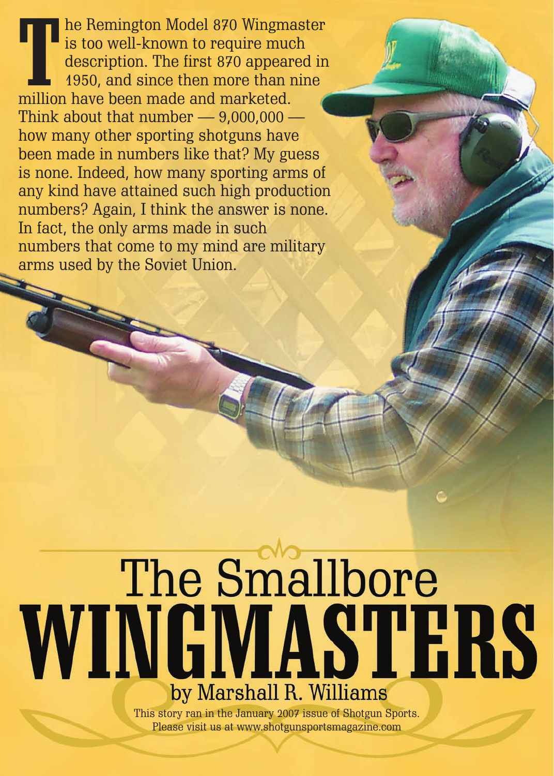The Remington Model 870 Wingm is too well-known to require muddescription. The first 870 appear 1950, and since then more than million have been made and marketed. he Remington Model 870 Wingmaster is too well-known to require much description. The first 870 appeared in 1950, and since then more than nine Think about that number  $-9,000,000$ how many other sporting shotguns have been made in numbers like that? My guess is none. Indeed, how many sporting arms of any kind have attained such high production numbers? Again, I think the answer is none. In fact, the only arms made in such numbers that come to my mind are military arms used by the Soviet Union.

## The Smallbore WINGMASTERS by Marshall R. Williams

This story ran in the January 2007 issue of Shotgun Sports. Please visit us at www.shotgunsportsmagazine.com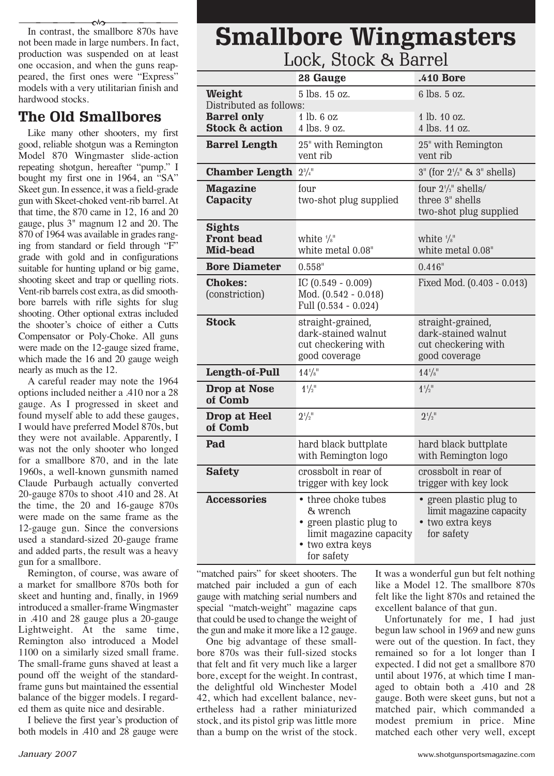In contrast, the smallbore 870s have not been made in large numbers. In fact, production was suspended on at least one occasion, and when the guns reappeared, the first ones were "Express" models with a very utilitarian finish and hardwood stocks. ------- $\rightsquigarrow$ 

## **The Old Smallbores**

Like many other shooters, my first good, reliable shotgun was a Remington Model 870 Wingmaster slide-action repeating shotgun, hereafter "pump." I bought my first one in 1964, an "SA" Skeet gun. In essence, it was a field-grade gun with Skeet-choked vent-rib barrel. At that time, the 870 came in 12, 16 and 20 gauge, plus 3" magnum 12 and 20. The 870 of 1964 was available in grades ranging from standard or field through "F" grade with gold and in configurations suitable for hunting upland or big game, shooting skeet and trap or quelling riots. Vent-rib barrels cost extra, as did smoothbore barrels with rifle sights for slug shooting. Other optional extras included the shooter's choice of either a Cutts Compensator or Poly-Choke. All guns were made on the 12-gauge sized frame, which made the 16 and 20 gauge weigh nearly as much as the 12.

A careful reader may note the 1964 options included neither a .410 nor a 28 gauge. As I progressed in skeet and found myself able to add these gauges, I would have preferred Model 870s, but they were not available. Apparently, I was not the only shooter who longed for a smallbore 870, and in the late 1960s, a well-known gunsmith named Claude Purbaugh actually converted 20-gauge 870s to shoot .410 and 28. At the time, the 20 and 16-gauge 870s were made on the same frame as the 12-gauge gun. Since the conversions used a standard-sized 20-gauge frame and added parts, the result was a heavy gun for a smallbore.

Remington, of course, was aware of a market for smallbore 870s both for skeet and hunting and, finally, in 1969 introduced a smaller-frame Wingmaster in .410 and 28 gauge plus a 20-gauge Lightweight. At the same time, Remington also introduced a Model 1100 on a similarly sized small frame. The small-frame guns shaved at least a pound off the weight of the standardframe guns but maintained the essential balance of the bigger models. I regarded them as quite nice and desirable.

I believe the first year's production of both models in .410 and 28 gauge were

## **Smallbore Wingmasters** Lock, Stock & Bannol

| DUUN, DIUUN OI DALLEI                                 |                                                                                                                         |                                                                                      |
|-------------------------------------------------------|-------------------------------------------------------------------------------------------------------------------------|--------------------------------------------------------------------------------------|
|                                                       | 28 Gauge                                                                                                                | .410 Bore                                                                            |
| Weight<br>Distributed as follows:                     | 5 lbs. 15 oz.                                                                                                           | 6 lbs. 5 oz.                                                                         |
| <b>Barrel only</b><br><b>Stock &amp; action</b>       | 1 lb. 6 oz<br>4 lbs. 9 oz.                                                                                              | 1 lb. 10 oz.<br>4 lbs. 11 oz.                                                        |
| <b>Barrel Length</b>                                  | 25" with Remington<br>vent rib                                                                                          | 25" with Remington<br>vent rib                                                       |
| <b>Chamber Length</b>                                 | $2^{3}/4$ <sup>11</sup>                                                                                                 | $3''$ (for $2\frac{1}{2}''$ & $3''$ shells)                                          |
| <b>Magazine</b><br>Capacity                           | four<br>two-shot plug supplied                                                                                          | four $2\frac{1}{2}$ " shells/<br>three 3" shells<br>two-shot plug supplied           |
| <b>Sights</b><br><b>Front bead</b><br><b>Mid-bead</b> | white $\frac{1}{8}$ "<br>white metal 0.08"                                                                              | white $\frac{1}{8}$ "<br>white metal 0.08"                                           |
| <b>Bore Diameter</b>                                  | 0.558"                                                                                                                  | $0.416$ "                                                                            |
| <b>Chokes:</b><br>(constriction)                      | IC $(0.549 - 0.009)$<br>Mod. (0.542 - 0.018)<br>Full (0.534 - 0.024)                                                    | Fixed Mod. (0.403 - 0.013)                                                           |
| <b>Stock</b>                                          | straight-grained,<br>dark-stained walnut<br>cut checkering with<br>good coverage                                        | straight-grained,<br>dark-stained walnut<br>cut checkering with<br>good coverage     |
| Length-of-Pull                                        | $14^{1/s}$                                                                                                              | $14^{1/s}$                                                                           |
| <b>Drop at Nose</b><br>of Comb                        | $1^{4}/2$ <sup>11</sup>                                                                                                 | $1^{1/1}$                                                                            |
| Drop at Heel<br>of Comb                               | $2^{1/2}$                                                                                                               | $2^{1/2}$                                                                            |
| Pad                                                   | hard black buttplate<br>with Remington logo                                                                             | hard black buttplate<br>with Remington logo                                          |
| <b>Safety</b>                                         | crossbolt in rear of<br>trigger with key lock                                                                           | crossbolt in rear of<br>trigger with key lock                                        |
| Accessories                                           | • three choke tubes<br>& wrench<br>• green plastic plug to<br>limit magazine capacity<br>• two extra keys<br>for safety | • green plastic plug to<br>limit magazine capacity<br>• two extra keys<br>for safety |

"matched pairs" for skeet shooters. The matched pair included a gun of each gauge with matching serial numbers and special "match-weight" magazine caps that could be used to change the weight of the gun and make it more like a 12 gauge.

One big advantage of these smallbore 870s was their full-sized stocks that felt and fit very much like a larger bore, except for the weight. In contrast, the delightful old Winchester Model 42, which had excellent balance, nevertheless had a rather miniaturized stock, and its pistol grip was little more than a bump on the wrist of the stock. It was a wonderful gun but felt nothing like a Model 12. The smallbore 870s felt like the light 870s and retained the excellent balance of that gun.

Unfortunately for me, I had just begun law school in 1969 and new guns were out of the question. In fact, they remained so for a lot longer than I expected. I did not get a smallbore 870 until about 1976, at which time I managed to obtain both a .410 and 28 gauge. Both were skeet guns, but not a matched pair, which commanded a modest [premium in price. Mine](http://www.shotgunsportsmagazine.com) matched each other very well, except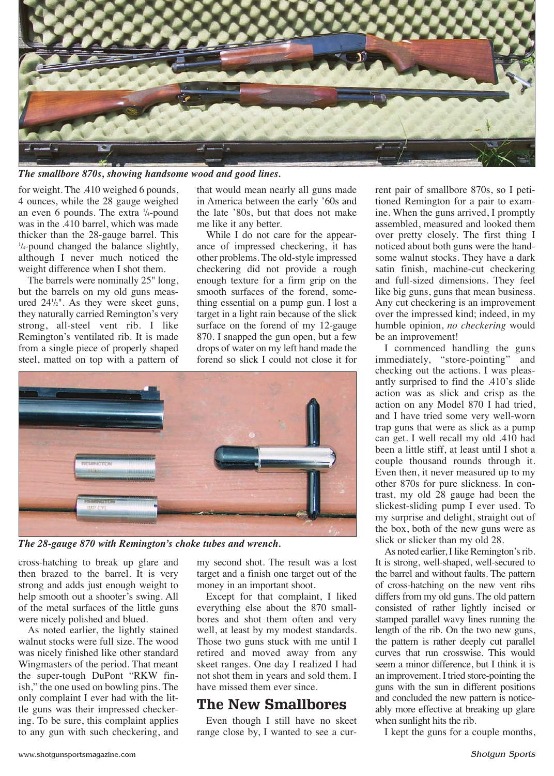

*The smallbore 870s, showing handsome wood and good lines.*

for weight. The .410 weighed 6 pounds, 4 ounces, while the 28 gauge weighed an even 6 pounds. The extra 1 /4-pound was in the .410 barrel, which was made thicker than the 28-gauge barrel. This 1 /4-pound changed the balance slightly, although I never much noticed the weight difference when I shot them.

The barrels were nominally 25" long, but the barrels on my old guns measured 241 /2". As they were skeet guns, they naturally carried Remington's very strong, all-steel vent rib. I like Remington's ventilated rib. It is made from a single piece of properly shaped steel, matted on top with a pattern of

that would mean nearly all guns made in America between the early '60s and the late '80s, but that does not make me like it any better.

While I do not care for the appearance of impressed checkering, it has other problems. The old-style impressed checkering did not provide a rough enough texture for a firm grip on the smooth surfaces of the forend, something essential on a pump gun. I lost a target in a light rain because of the slick surface on the forend of my 12-gauge 870. I snapped the gun open, but a few drops of water on my left hand made the forend so slick I could not close it for



*The 28-gauge 870 with Remington's choke tubes and wrench.*

cross-hatching to break up glare and then brazed to the barrel. It is very strong and adds just enough weight to help smooth out a shooter's swing. All of the metal surfaces of the little guns were nicely polished and blued.

As noted earlier, the lightly stained walnut stocks were full size. The wood was nicely finished like other standard Wingmasters of the period. That meant the super-tough DuPont "RKW finish," the one used on bowling pins. The only complaint I ever had with the little guns was their impressed checker[ing. To be sure, this complaint](http://www.shotgunsportsmagazine.com) applies to any gun with such checkering, and

my second shot. The result was a lost target and a finish one target out of the money in an important shoot.

Except for that complaint, I liked everything else about the 870 smallbores and shot them often and very well, at least by my modest standards. Those two guns stuck with me until I retired and moved away from any skeet ranges. One day I realized I had not shot them in years and sold them. I have missed them ever since.

## **The New Smallbores**

Even though I still have no skeet range close by, I wanted to see a current pair of smallbore 870s, so I petitioned Remington for a pair to examine. When the guns arrived, I promptly assembled, measured and looked them over pretty closely. The first thing I noticed about both guns were the handsome walnut stocks. They have a dark satin finish, machine-cut checkering and full-sized dimensions. They feel like big guns, guns that mean business. Any cut checkering is an improvement over the impressed kind; indeed, in my humble opinion, *no checkering* would be an improvement!

I commenced handling the guns immediately, "store-pointing" and checking out the actions. I was pleasantly surprised to find the .410's slide action was as slick and crisp as the action on any Model 870 I had tried, and I have tried some very well-worn trap guns that were as slick as a pump can get. I well recall my old .410 had been a little stiff, at least until I shot a couple thousand rounds through it. Even then, it never measured up to my other 870s for pure slickness. In contrast, my old 28 gauge had been the slickest-sliding pump I ever used. To my surprise and delight, straight out of the box, both of the new guns were as slick or slicker than my old 28.

As noted earlier, I like Remington's rib. It is strong, well-shaped, well-secured to the barrel and without faults. The pattern of cross-hatching on the new vent ribs differs from my old guns. The old pattern consisted of rather lightly incised or stamped parallel wavy lines running the length of the rib. On the two new guns, the pattern is rather deeply cut parallel curves that run crosswise. This would seem a minor difference, but I think it is an improvement. I tried store-pointing the guns with the sun in different positions and concluded the new pattern is noticeably more effective at breaking up glare when sunlight hits the rib.

I kept the guns for a couple months,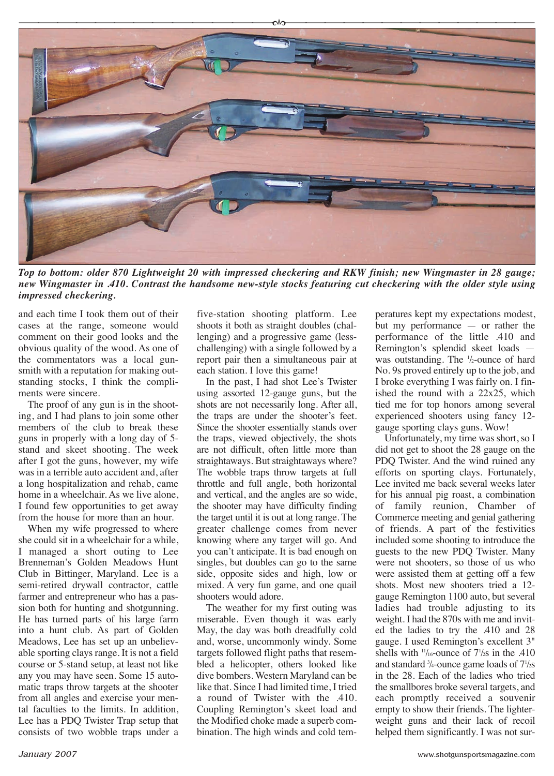

*Top to bottom: older 870 Lightweight 20 with impressed checkering and RKW finish; new Wingmaster in 28 gauge; new Wingmaster in .410. Contrast the handsome new-style stocks featuring cut checkering with the older style using impressed checkering.*

and each time I took them out of their cases at the range, someone would comment on their good looks and the obvious quality of the wood. As one of the commentators was a local gunsmith with a reputation for making outstanding stocks, I think the compliments were sincere.

The proof of any gun is in the shooting, and I had plans to join some other members of the club to break these guns in properly with a long day of 5 stand and skeet shooting. The week after I got the guns, however, my wife was in a terrible auto accident and, after a long hospitalization and rehab, came home in a wheelchair. As we live alone, I found few opportunities to get away from the house for more than an hour.

When my wife progressed to where she could sit in a wheelchair for a while, I managed a short outing to Lee Brenneman's Golden Meadows Hunt Club in Bittinger, Maryland. Lee is a semi-retired drywall contractor, cattle farmer and entrepreneur who has a passion both for hunting and shotgunning. He has turned parts of his large farm into a hunt club. As part of Golden Meadows, Lee has set up an unbelievable sporting clays range. It is not a field course or 5-stand setup, at least not like any you may have seen. Some 15 automatic traps throw targets at the shooter from all angles and exercise your mental faculties to the limits. In addition, Lee has a PDQ Twister Trap setup that consists of two wobble traps under a five-station shooting platform. Lee shoots it both as straight doubles (challenging) and a progressive game (lesschallenging) with a single followed by a report pair then a simultaneous pair at each station. I love this game!

In the past, I had shot Lee's Twister using assorted 12-gauge guns, but the shots are not necessarily long. After all, the traps are under the shooter's feet. Since the shooter essentially stands over the traps, viewed objectively, the shots are not difficult, often little more than straightaways. But straightaways where? The wobble traps throw targets at full throttle and full angle, both horizontal and vertical, and the angles are so wide, the shooter may have difficulty finding the target until it is out at long range. The greater challenge comes from never knowing where any target will go. And you can't anticipate. It is bad enough on singles, but doubles can go to the same side, opposite sides and high, low or mixed. A very fun game, and one quail shooters would adore.

The weather for my first outing was miserable. Even though it was early May, the day was both dreadfully cold and, worse, uncommonly windy. Some targets followed flight paths that resembled a helicopter, others looked like dive bombers. Western Maryland can be like that. Since I had limited time, I tried a round of Twister with the .410. Coupling Remington's skeet load and the Modified choke made a superb combination. The high winds and cold temperatures kept my expectations modest, but my performance — or rather the performance of the little .410 and Remington's splendid skeet loads was outstanding. The <sup>1</sup>/<sub>2</sub>-ounce of hard No. 9s proved entirely up to the job, and I broke everything I was fairly on. I finished the round with a 22x25, which tied me for top honors among several experienced shooters using fancy 12 gauge sporting clays guns. Wow!

Unfortunately, my time was short, so I did not get to shoot the 28 gauge on the PDQ Twister. And the wind ruined any efforts on sporting clays. Fortunately, Lee invited me back several weeks later for his annual pig roast, a combination of family reunion, Chamber of Commerce meeting and genial gathering of friends. A part of the festivities included some shooting to introduce the guests to the new PDQ Twister. Many were not shooters, so those of us who were assisted them at getting off a few shots. Most new shooters tried a 12 gauge Remington 1100 auto, but several ladies had trouble adjusting to its weight. I had the 870s with me and invited the ladies to try the .410 and 28 gauge. I used Remington's excellent 3" shells with  $\frac{11}{16}$ -ounce of  $\frac{7}{2s}$  in the .410 and standard 3 /4-ounce game loads of 71 /2s in the 28. Each of the ladies who tried the smallbores broke several targets, and each promptly received a souvenir empty to show their friends. The lighterweight g[uns and their lack of recoil](http://www.shotgunsportsmagazine.com) helped them significantly. I was not sur-